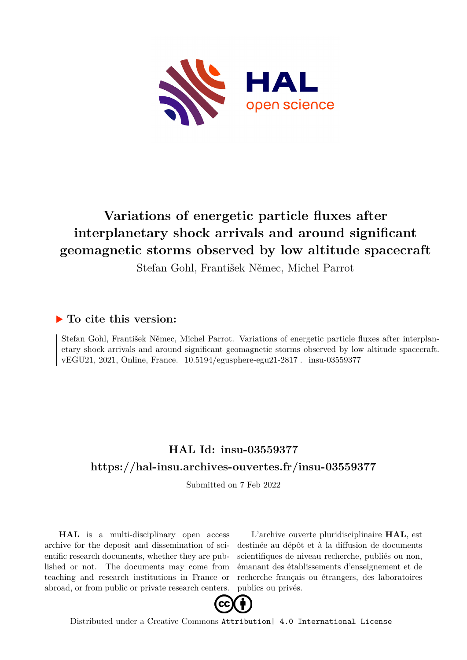

## **Variations of energetic particle fluxes after interplanetary shock arrivals and around significant geomagnetic storms observed by low altitude spacecraft**

Stefan Gohl, František Němec, Michel Parrot

## **To cite this version:**

Stefan Gohl, František Němec, Michel Parrot. Variations of energetic particle fluxes after interplanetary shock arrivals and around significant geomagnetic storms observed by low altitude spacecraft. vEGU21, 2021, Online, France. 10.5194/egusphere-egu21-2817. insu-03559377

## **HAL Id: insu-03559377 <https://hal-insu.archives-ouvertes.fr/insu-03559377>**

Submitted on 7 Feb 2022

**HAL** is a multi-disciplinary open access archive for the deposit and dissemination of scientific research documents, whether they are published or not. The documents may come from teaching and research institutions in France or abroad, or from public or private research centers.

L'archive ouverte pluridisciplinaire **HAL**, est destinée au dépôt et à la diffusion de documents scientifiques de niveau recherche, publiés ou non, émanant des établissements d'enseignement et de recherche français ou étrangers, des laboratoires publics ou privés.



Distributed under a Creative Commons [Attribution| 4.0 International License](http://creativecommons.org/licenses/by/4.0/)